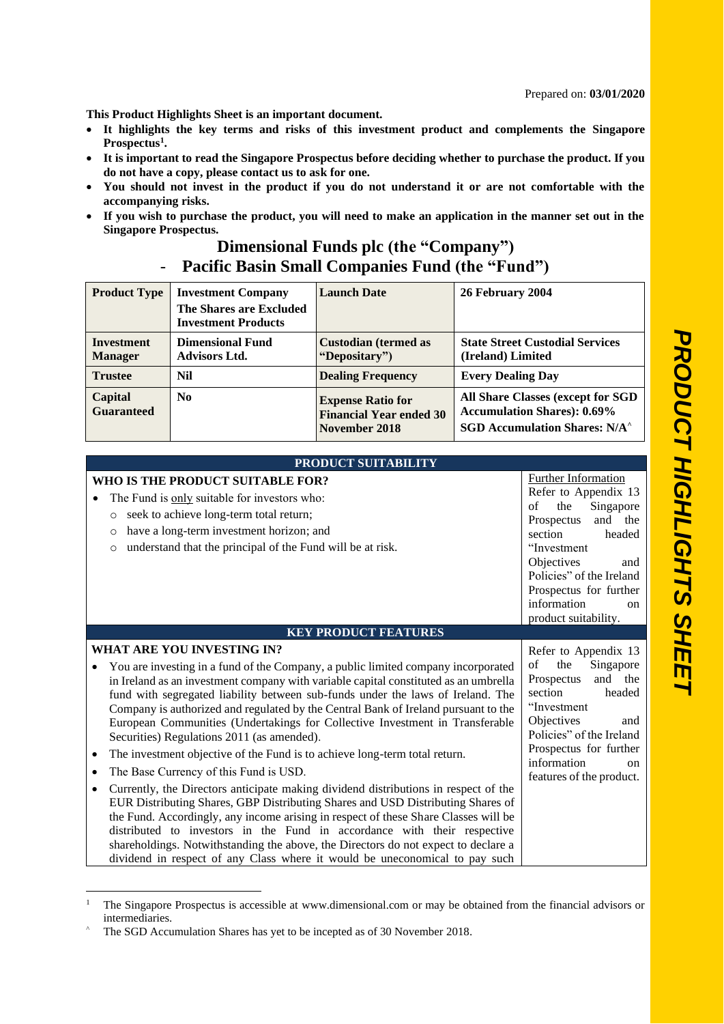**This Product Highlights Sheet is an important document.** 

- **It highlights the key terms and risks of this investment product and complements the Singapore Prospectus 1 .**
- **It is important to read the Singapore Prospectus before deciding whether to purchase the product. If you do not have a copy, please contact us to ask for one.**
- **You should not invest in the product if you do not understand it or are not comfortable with the accompanying risks.**
- **If you wish to purchase the product, you will need to make an application in the manner set out in the Singapore Prospectus.**

## **Dimensional Funds plc (the "Company")** - **Pacific Basin Small Companies Fund (the "Fund")**

| <b>Product Type</b>                 | <b>Investment Company</b><br><b>The Shares are Excluded</b><br><b>Investment Products</b> | <b>Launch Date</b>                                                          | 26 February 2004                                                                                                           |
|-------------------------------------|-------------------------------------------------------------------------------------------|-----------------------------------------------------------------------------|----------------------------------------------------------------------------------------------------------------------------|
| <b>Investment</b><br><b>Manager</b> | <b>Dimensional Fund</b><br><b>Advisors Ltd.</b>                                           | <b>Custodian (termed as</b><br>"Depositary")                                | <b>State Street Custodial Services</b><br>(Ireland) Limited                                                                |
| <b>Trustee</b>                      | <b>Nil</b>                                                                                | <b>Dealing Frequency</b>                                                    | <b>Every Dealing Day</b>                                                                                                   |
| Capital<br><b>Guaranteed</b>        | N <sub>0</sub>                                                                            | <b>Expense Ratio for</b><br><b>Financial Year ended 30</b><br>November 2018 | All Share Classes (except for SGD<br><b>Accumulation Shares): 0.69%</b><br><b>SGD Accumulation Shares: N/A<sup>^</sup></b> |

## **PRODUCT SUITABILITY**

|                | WHO IS THE PRODUCT SUITABLE FOR?<br>The Fund is only suitable for investors who:<br>seek to achieve long-term total return;<br>$\circ$<br>have a long-term investment horizon; and<br>$\circ$<br>understand that the principal of the Fund will be at risk.<br>O<br><b>KEY PRODUCT FEATURES</b>                                                                                                                                                                                  | <b>Further Information</b><br>Refer to Appendix 13<br>the<br>Singapore<br>of<br>and<br>the<br>Prospectus<br>section<br>headed<br>"Investment<br>Objectives<br>and<br>Policies" of the Ireland<br>Prospectus for further<br>information<br><sub>on</sub><br>product suitability. |
|----------------|----------------------------------------------------------------------------------------------------------------------------------------------------------------------------------------------------------------------------------------------------------------------------------------------------------------------------------------------------------------------------------------------------------------------------------------------------------------------------------|---------------------------------------------------------------------------------------------------------------------------------------------------------------------------------------------------------------------------------------------------------------------------------|
|                | WHAT ARE YOU INVESTING IN?                                                                                                                                                                                                                                                                                                                                                                                                                                                       | Refer to Appendix 13<br>the<br>Singapore<br>of                                                                                                                                                                                                                                  |
|                | You are investing in a fund of the Company, a public limited company incorporated<br>in Ireland as an investment company with variable capital constituted as an umbrella<br>fund with segregated liability between sub-funds under the laws of Ireland. The<br>Company is authorized and regulated by the Central Bank of Ireland pursuant to the<br>European Communities (Undertakings for Collective Investment in Transferable<br>Securities) Regulations 2011 (as amended). | Prospectus<br>and the<br>section<br>headed<br>"Investment"<br>Objectives<br>and<br>Policies" of the Ireland                                                                                                                                                                     |
| ٠              | The investment objective of the Fund is to achieve long-term total return.                                                                                                                                                                                                                                                                                                                                                                                                       | Prospectus for further<br>information                                                                                                                                                                                                                                           |
| ٠<br>$\bullet$ | The Base Currency of this Fund is USD.<br>Currently, the Directors anticipate making dividend distributions in respect of the                                                                                                                                                                                                                                                                                                                                                    | on<br>features of the product.                                                                                                                                                                                                                                                  |
|                | EUR Distributing Shares, GBP Distributing Shares and USD Distributing Shares of<br>the Fund. Accordingly, any income arising in respect of these Share Classes will be<br>distributed to investors in the Fund in accordance with their respective<br>shareholdings. Notwithstanding the above, the Directors do not expect to declare a<br>dividend in respect of any Class where it would be uneconomical to pay such                                                          |                                                                                                                                                                                                                                                                                 |

<sup>&</sup>lt;sup>1</sup> The Singapore Prospectus is accessible at www.dimensional.com or may be obtained from the financial advisors or intermediaries.

<sup>&</sup>lt;sup>^</sup> The SGD Accumulation Shares has yet to be incepted as of 30 November 2018.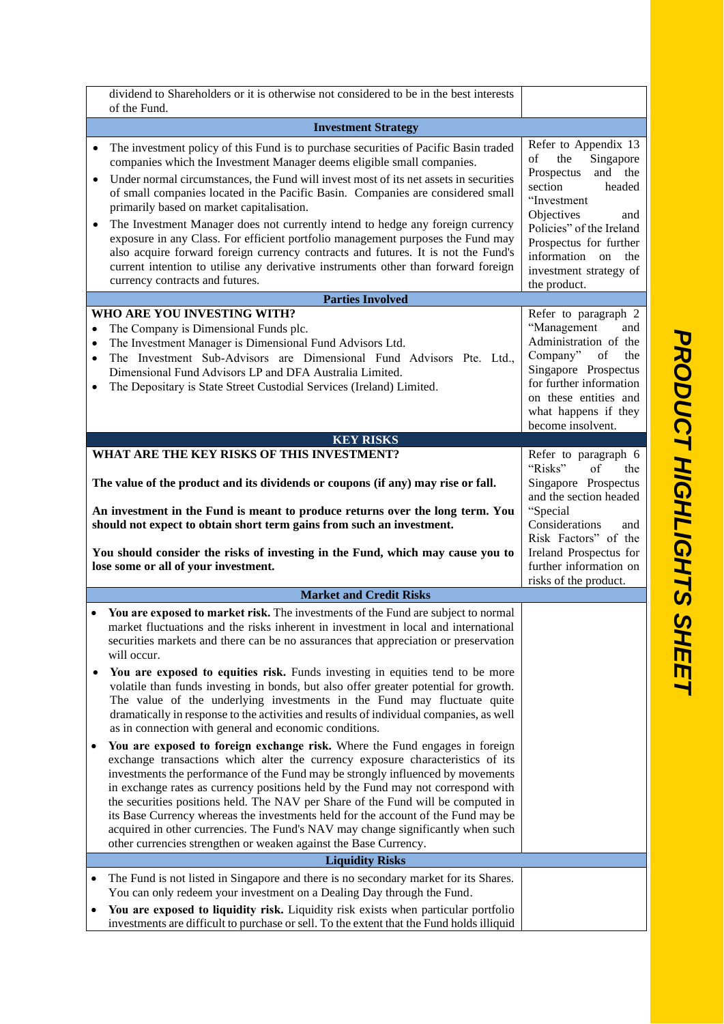|                                     | dividend to Shareholders or it is otherwise not considered to be in the best interests<br>of the Fund.                                                                                                                                                                                                                                                                                                                                                                                                                                                                                                                                                                                                                                                                     |                                                                                                                                                                                                                                                        |  |  |
|-------------------------------------|----------------------------------------------------------------------------------------------------------------------------------------------------------------------------------------------------------------------------------------------------------------------------------------------------------------------------------------------------------------------------------------------------------------------------------------------------------------------------------------------------------------------------------------------------------------------------------------------------------------------------------------------------------------------------------------------------------------------------------------------------------------------------|--------------------------------------------------------------------------------------------------------------------------------------------------------------------------------------------------------------------------------------------------------|--|--|
|                                     | <b>Investment Strategy</b>                                                                                                                                                                                                                                                                                                                                                                                                                                                                                                                                                                                                                                                                                                                                                 |                                                                                                                                                                                                                                                        |  |  |
| $\bullet$                           | The investment policy of this Fund is to purchase securities of Pacific Basin traded<br>companies which the Investment Manager deems eligible small companies.<br>Under normal circumstances, the Fund will invest most of its net assets in securities<br>of small companies located in the Pacific Basin. Companies are considered small<br>primarily based on market capitalisation.<br>The Investment Manager does not currently intend to hedge any foreign currency<br>exposure in any Class. For efficient portfolio management purposes the Fund may<br>also acquire forward foreign currency contracts and futures. It is not the Fund's<br>current intention to utilise any derivative instruments other than forward foreign<br>currency contracts and futures. | Refer to Appendix 13<br>Singapore<br>of<br>the<br>and the<br>Prospectus<br>section<br>headed<br>"Investment<br>Objectives<br>and<br>Policies" of the Ireland<br>Prospectus for further<br>information on the<br>investment strategy of<br>the product. |  |  |
|                                     | <b>Parties Involved</b><br>WHO ARE YOU INVESTING WITH?                                                                                                                                                                                                                                                                                                                                                                                                                                                                                                                                                                                                                                                                                                                     |                                                                                                                                                                                                                                                        |  |  |
| $\bullet$<br>$\bullet$<br>$\bullet$ | The Company is Dimensional Funds plc.<br>The Investment Manager is Dimensional Fund Advisors Ltd.<br>The Investment Sub-Advisors are Dimensional Fund Advisors Pte. Ltd.,<br>Dimensional Fund Advisors LP and DFA Australia Limited.<br>The Depositary is State Street Custodial Services (Ireland) Limited.                                                                                                                                                                                                                                                                                                                                                                                                                                                               | Refer to paragraph 2<br>"Management<br>and<br>Administration of the<br>Company"<br>of<br>the<br>Singapore Prospectus<br>for further information<br>on these entities and<br>what happens if they<br>become insolvent.                                  |  |  |
|                                     | <b>KEY RISKS</b>                                                                                                                                                                                                                                                                                                                                                                                                                                                                                                                                                                                                                                                                                                                                                           |                                                                                                                                                                                                                                                        |  |  |
|                                     | WHAT ARE THE KEY RISKS OF THIS INVESTMENT?                                                                                                                                                                                                                                                                                                                                                                                                                                                                                                                                                                                                                                                                                                                                 | Refer to paragraph 6                                                                                                                                                                                                                                   |  |  |
|                                     | The value of the product and its dividends or coupons (if any) may rise or fall.<br>An investment in the Fund is meant to produce returns over the long term. You<br>should not expect to obtain short term gains from such an investment.<br>You should consider the risks of investing in the Fund, which may cause you to<br>lose some or all of your investment.                                                                                                                                                                                                                                                                                                                                                                                                       | "Risks"<br>of<br>the<br>Singapore Prospectus<br>and the section headed<br>"Special<br>Considerations<br>and<br>Risk Factors" of the<br>Ireland Prospectus for<br>further information on<br>risks of the product.                                       |  |  |
|                                     | <b>Market and Credit Risks</b>                                                                                                                                                                                                                                                                                                                                                                                                                                                                                                                                                                                                                                                                                                                                             |                                                                                                                                                                                                                                                        |  |  |
|                                     | You are exposed to market risk. The investments of the Fund are subject to normal<br>market fluctuations and the risks inherent in investment in local and international<br>securities markets and there can be no assurances that appreciation or preservation<br>will occur.<br>You are exposed to equities risk. Funds investing in equities tend to be more<br>volatile than funds investing in bonds, but also offer greater potential for growth.<br>The value of the underlying investments in the Fund may fluctuate quite<br>dramatically in response to the activities and results of individual companies, as well                                                                                                                                              |                                                                                                                                                                                                                                                        |  |  |
|                                     | as in connection with general and economic conditions.                                                                                                                                                                                                                                                                                                                                                                                                                                                                                                                                                                                                                                                                                                                     |                                                                                                                                                                                                                                                        |  |  |
|                                     | You are exposed to foreign exchange risk. Where the Fund engages in foreign<br>exchange transactions which alter the currency exposure characteristics of its<br>investments the performance of the Fund may be strongly influenced by movements<br>in exchange rates as currency positions held by the Fund may not correspond with<br>the securities positions held. The NAV per Share of the Fund will be computed in<br>its Base Currency whereas the investments held for the account of the Fund may be<br>acquired in other currencies. The Fund's NAV may change significantly when such<br>other currencies strengthen or weaken against the Base Currency.                                                                                                       |                                                                                                                                                                                                                                                        |  |  |
|                                     | <b>Liquidity Risks</b>                                                                                                                                                                                                                                                                                                                                                                                                                                                                                                                                                                                                                                                                                                                                                     |                                                                                                                                                                                                                                                        |  |  |
|                                     | The Fund is not listed in Singapore and there is no secondary market for its Shares.<br>You can only redeem your investment on a Dealing Day through the Fund.<br>You are exposed to liquidity risk. Liquidity risk exists when particular portfolio<br>investments are difficult to purchase or sell. To the extent that the Fund holds illiquid                                                                                                                                                                                                                                                                                                                                                                                                                          |                                                                                                                                                                                                                                                        |  |  |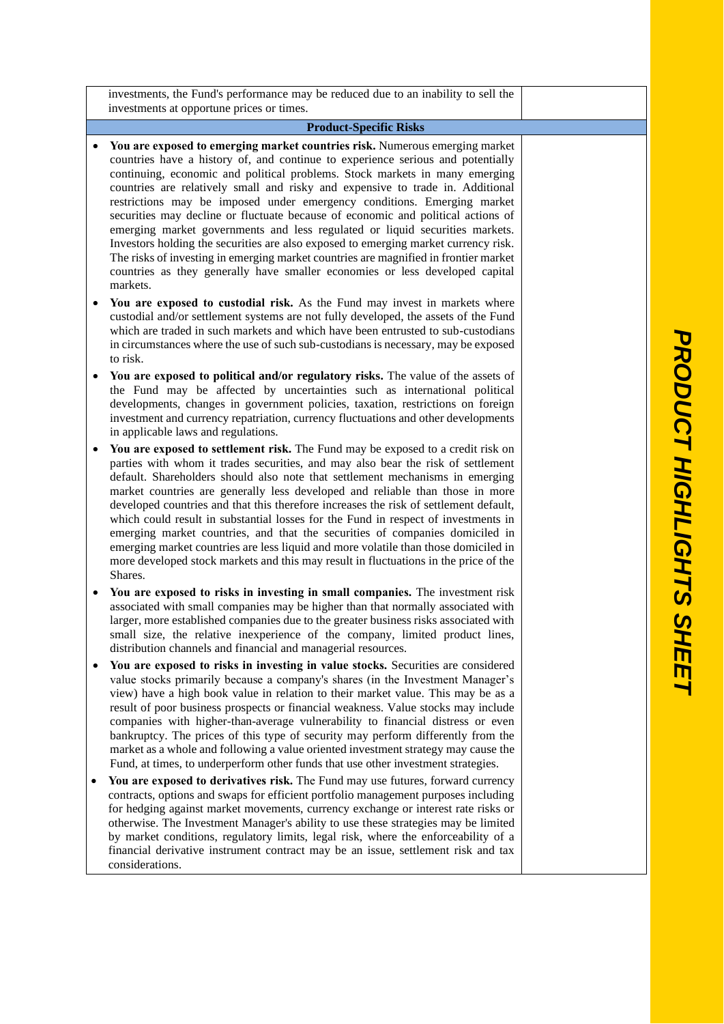|   | investments, the Fund's performance may be reduced due to an inability to sell the<br>investments at opportune prices or times.                                                                                                                                                                                                                                                                                                                                                                                                                                                                                                                                                                                                                                                                |  |  |  |  |
|---|------------------------------------------------------------------------------------------------------------------------------------------------------------------------------------------------------------------------------------------------------------------------------------------------------------------------------------------------------------------------------------------------------------------------------------------------------------------------------------------------------------------------------------------------------------------------------------------------------------------------------------------------------------------------------------------------------------------------------------------------------------------------------------------------|--|--|--|--|
|   | <b>Product-Specific Risks</b>                                                                                                                                                                                                                                                                                                                                                                                                                                                                                                                                                                                                                                                                                                                                                                  |  |  |  |  |
|   | You are exposed to emerging market countries risk. Numerous emerging market<br>countries have a history of, and continue to experience serious and potentially<br>continuing, economic and political problems. Stock markets in many emerging<br>countries are relatively small and risky and expensive to trade in. Additional<br>restrictions may be imposed under emergency conditions. Emerging market<br>securities may decline or fluctuate because of economic and political actions of<br>emerging market governments and less regulated or liquid securities markets.                                                                                                                                                                                                                 |  |  |  |  |
|   | Investors holding the securities are also exposed to emerging market currency risk.<br>The risks of investing in emerging market countries are magnified in frontier market<br>countries as they generally have smaller economies or less developed capital<br>markets.                                                                                                                                                                                                                                                                                                                                                                                                                                                                                                                        |  |  |  |  |
|   | You are exposed to custodial risk. As the Fund may invest in markets where<br>custodial and/or settlement systems are not fully developed, the assets of the Fund<br>which are traded in such markets and which have been entrusted to sub-custodians<br>in circumstances where the use of such sub-custodians is necessary, may be exposed<br>to risk.                                                                                                                                                                                                                                                                                                                                                                                                                                        |  |  |  |  |
|   | You are exposed to political and/or regulatory risks. The value of the assets of<br>the Fund may be affected by uncertainties such as international political<br>developments, changes in government policies, taxation, restrictions on foreign<br>investment and currency repatriation, currency fluctuations and other developments<br>in applicable laws and regulations.                                                                                                                                                                                                                                                                                                                                                                                                                  |  |  |  |  |
|   | You are exposed to settlement risk. The Fund may be exposed to a credit risk on<br>parties with whom it trades securities, and may also bear the risk of settlement<br>default. Shareholders should also note that settlement mechanisms in emerging<br>market countries are generally less developed and reliable than those in more<br>developed countries and that this therefore increases the risk of settlement default,<br>which could result in substantial losses for the Fund in respect of investments in<br>emerging market countries, and that the securities of companies domiciled in<br>emerging market countries are less liquid and more volatile than those domiciled in<br>more developed stock markets and this may result in fluctuations in the price of the<br>Shares. |  |  |  |  |
| ٠ | You are exposed to risks in investing in small companies. The investment risk<br>associated with small companies may be higher than that normally associated with<br>larger, more established companies due to the greater business risks associated with<br>small size, the relative inexperience of the company, limited product lines,<br>distribution channels and financial and managerial resources.                                                                                                                                                                                                                                                                                                                                                                                     |  |  |  |  |
|   | You are exposed to risks in investing in value stocks. Securities are considered<br>value stocks primarily because a company's shares (in the Investment Manager's<br>view) have a high book value in relation to their market value. This may be as a<br>result of poor business prospects or financial weakness. Value stocks may include<br>companies with higher-than-average vulnerability to financial distress or even<br>bankruptcy. The prices of this type of security may perform differently from the<br>market as a whole and following a value oriented investment strategy may cause the<br>Fund, at times, to underperform other funds that use other investment strategies.                                                                                                   |  |  |  |  |
|   | You are exposed to derivatives risk. The Fund may use futures, forward currency<br>contracts, options and swaps for efficient portfolio management purposes including<br>for hedging against market movements, currency exchange or interest rate risks or<br>otherwise. The Investment Manager's ability to use these strategies may be limited<br>by market conditions, regulatory limits, legal risk, where the enforceability of a<br>financial derivative instrument contract may be an issue, settlement risk and tax<br>considerations.                                                                                                                                                                                                                                                 |  |  |  |  |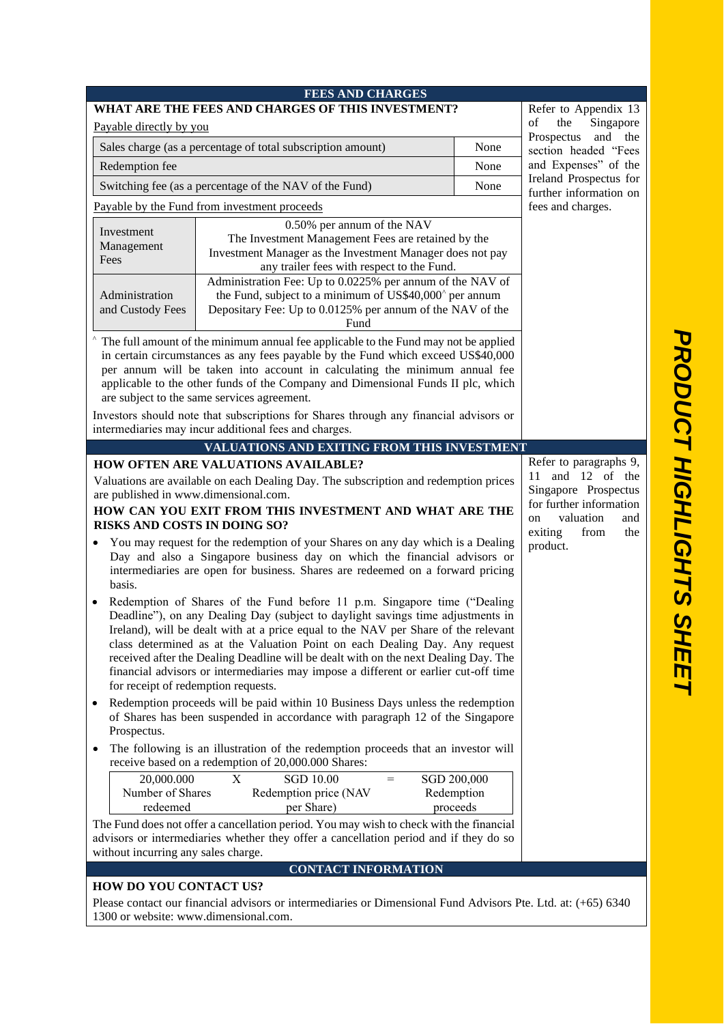| <b>FEES AND CHARGES</b><br>WHAT ARE THE FEES AND CHARGES OF THIS INVESTMENT?                                                                                                                                                                                                                                                                                                                                                                                                                                                                          |                                                                                                                                                                                                                            |      |                                                                                               |
|-------------------------------------------------------------------------------------------------------------------------------------------------------------------------------------------------------------------------------------------------------------------------------------------------------------------------------------------------------------------------------------------------------------------------------------------------------------------------------------------------------------------------------------------------------|----------------------------------------------------------------------------------------------------------------------------------------------------------------------------------------------------------------------------|------|-----------------------------------------------------------------------------------------------|
| Refer to Appendix 13<br>Singapore<br>of<br>the<br>Payable directly by you                                                                                                                                                                                                                                                                                                                                                                                                                                                                             |                                                                                                                                                                                                                            |      |                                                                                               |
|                                                                                                                                                                                                                                                                                                                                                                                                                                                                                                                                                       | Sales charge (as a percentage of total subscription amount)<br>None                                                                                                                                                        |      | Prospectus and the                                                                            |
| Redemption fee                                                                                                                                                                                                                                                                                                                                                                                                                                                                                                                                        |                                                                                                                                                                                                                            | None | section headed "Fees<br>and Expenses" of the                                                  |
|                                                                                                                                                                                                                                                                                                                                                                                                                                                                                                                                                       | Switching fee (as a percentage of the NAV of the Fund)                                                                                                                                                                     | None | Ireland Prospectus for                                                                        |
|                                                                                                                                                                                                                                                                                                                                                                                                                                                                                                                                                       | Payable by the Fund from investment proceeds                                                                                                                                                                               |      | further information on<br>fees and charges.                                                   |
|                                                                                                                                                                                                                                                                                                                                                                                                                                                                                                                                                       | 0.50% per annum of the NAV                                                                                                                                                                                                 |      |                                                                                               |
| Investment<br>Management<br>Fees                                                                                                                                                                                                                                                                                                                                                                                                                                                                                                                      | The Investment Management Fees are retained by the<br>Investment Manager as the Investment Manager does not pay<br>any trailer fees with respect to the Fund.<br>Administration Fee: Up to 0.0225% per annum of the NAV of |      |                                                                                               |
| Administration<br>and Custody Fees                                                                                                                                                                                                                                                                                                                                                                                                                                                                                                                    | the Fund, subject to a minimum of US\$40,000 <sup>^</sup> per annum<br>Depositary Fee: Up to 0.0125% per annum of the NAV of the<br>Fund                                                                                   |      |                                                                                               |
| The full amount of the minimum annual fee applicable to the Fund may not be applied<br>in certain circumstances as any fees payable by the Fund which exceed US\$40,000<br>per annum will be taken into account in calculating the minimum annual fee                                                                                                                                                                                                                                                                                                 |                                                                                                                                                                                                                            |      |                                                                                               |
| applicable to the other funds of the Company and Dimensional Funds II plc, which<br>are subject to the same services agreement.                                                                                                                                                                                                                                                                                                                                                                                                                       |                                                                                                                                                                                                                            |      |                                                                                               |
|                                                                                                                                                                                                                                                                                                                                                                                                                                                                                                                                                       | Investors should note that subscriptions for Shares through any financial advisors or<br>intermediaries may incur additional fees and charges.                                                                             |      |                                                                                               |
|                                                                                                                                                                                                                                                                                                                                                                                                                                                                                                                                                       | VALUATIONS AND EXITING FROM THIS INVESTMENT                                                                                                                                                                                |      |                                                                                               |
|                                                                                                                                                                                                                                                                                                                                                                                                                                                                                                                                                       | <b>HOW OFTEN ARE VALUATIONS AVAILABLE?</b>                                                                                                                                                                                 |      | Refer to paragraphs 9,                                                                        |
| Valuations are available on each Dealing Day. The subscription and redemption prices<br>are published in www.dimensional.com.<br>HOW CAN YOU EXIT FROM THIS INVESTMENT AND WHAT ARE THE                                                                                                                                                                                                                                                                                                                                                               |                                                                                                                                                                                                                            |      | 11 and 12 of the<br>Singapore Prospectus<br>for further information<br>valuation<br>on<br>and |
| <b>RISKS AND COSTS IN DOING SO?</b><br>exiting<br>from<br>You may request for the redemption of your Shares on any day which is a Dealing<br>product.<br>Day and also a Singapore business day on which the financial advisors or<br>intermediaries are open for business. Shares are redeemed on a forward pricing<br>basis.                                                                                                                                                                                                                         |                                                                                                                                                                                                                            |      | the                                                                                           |
| Redemption of Shares of the Fund before 11 p.m. Singapore time ("Dealing<br>Deadline"), on any Dealing Day (subject to daylight savings time adjustments in<br>Ireland), will be dealt with at a price equal to the NAV per Share of the relevant<br>class determined as at the Valuation Point on each Dealing Day. Any request<br>received after the Dealing Deadline will be dealt with on the next Dealing Day. The<br>financial advisors or intermediaries may impose a different or earlier cut-off time<br>for receipt of redemption requests. |                                                                                                                                                                                                                            |      |                                                                                               |
| Redemption proceeds will be paid within 10 Business Days unless the redemption<br>of Shares has been suspended in accordance with paragraph 12 of the Singapore<br>Prospectus.                                                                                                                                                                                                                                                                                                                                                                        |                                                                                                                                                                                                                            |      |                                                                                               |
| The following is an illustration of the redemption proceeds that an investor will<br>٠<br>receive based on a redemption of 20,000.000 Shares:                                                                                                                                                                                                                                                                                                                                                                                                         |                                                                                                                                                                                                                            |      |                                                                                               |
| 20,000.000<br>X<br><b>SGD 10.00</b><br>SGD 200,000<br>$=$<br>Number of Shares<br>Redemption price (NAV<br>Redemption<br>proceeds<br>redeemed<br>per Share)                                                                                                                                                                                                                                                                                                                                                                                            |                                                                                                                                                                                                                            |      |                                                                                               |
| The Fund does not offer a cancellation period. You may wish to check with the financial<br>advisors or intermediaries whether they offer a cancellation period and if they do so<br>without incurring any sales charge.                                                                                                                                                                                                                                                                                                                               |                                                                                                                                                                                                                            |      |                                                                                               |
| <b>CONTACT INFORMATION</b>                                                                                                                                                                                                                                                                                                                                                                                                                                                                                                                            |                                                                                                                                                                                                                            |      |                                                                                               |
| <b>HOW DO YOU CONTACT US?</b><br>Please contact our financial advisors or intermediaries or Dimensional Fund Advisors Pte. Ltd. at: (+65) 6340<br>1300 or website: www.dimensional.com.                                                                                                                                                                                                                                                                                                                                                               |                                                                                                                                                                                                                            |      |                                                                                               |
|                                                                                                                                                                                                                                                                                                                                                                                                                                                                                                                                                       |                                                                                                                                                                                                                            |      |                                                                                               |